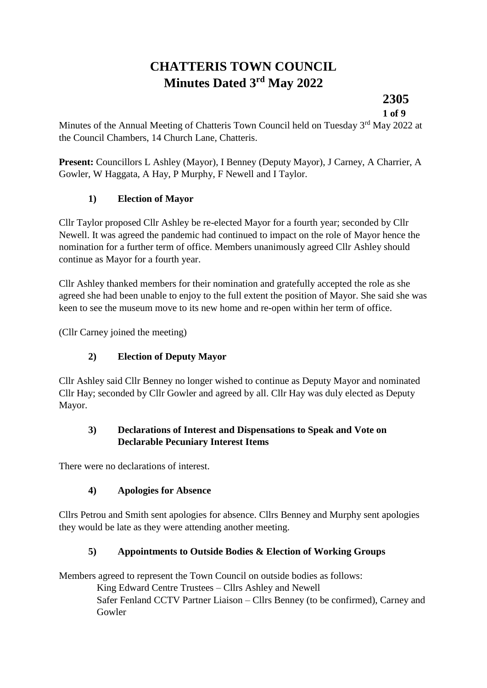# **CHATTERIS TOWN COUNCIL Minutes Dated 3 rd May 2022**

**2305**

**1 of 9**

Minutes of the Annual Meeting of Chatteris Town Council held on Tuesday 3<sup>rd</sup> May 2022 at the Council Chambers, 14 Church Lane, Chatteris.

**Present:** Councillors L Ashley (Mayor), I Benney (Deputy Mayor), J Carney, A Charrier, A Gowler, W Haggata, A Hay, P Murphy, F Newell and I Taylor.

## **1) Election of Mayor**

Cllr Taylor proposed Cllr Ashley be re-elected Mayor for a fourth year; seconded by Cllr Newell. It was agreed the pandemic had continued to impact on the role of Mayor hence the nomination for a further term of office. Members unanimously agreed Cllr Ashley should continue as Mayor for a fourth year.

Cllr Ashley thanked members for their nomination and gratefully accepted the role as she agreed she had been unable to enjoy to the full extent the position of Mayor. She said she was keen to see the museum move to its new home and re-open within her term of office.

(Cllr Carney joined the meeting)

#### **2) Election of Deputy Mayor**

Cllr Ashley said Cllr Benney no longer wished to continue as Deputy Mayor and nominated Cllr Hay; seconded by Cllr Gowler and agreed by all. Cllr Hay was duly elected as Deputy Mayor.

#### **3) Declarations of Interest and Dispensations to Speak and Vote on Declarable Pecuniary Interest Items**

There were no declarations of interest.

#### **4) Apologies for Absence**

Cllrs Petrou and Smith sent apologies for absence. Cllrs Benney and Murphy sent apologies they would be late as they were attending another meeting.

#### **5) Appointments to Outside Bodies & Election of Working Groups**

Members agreed to represent the Town Council on outside bodies as follows:

King Edward Centre Trustees – Cllrs Ashley and Newell

Safer Fenland CCTV Partner Liaison – Cllrs Benney (to be confirmed), Carney and Gowler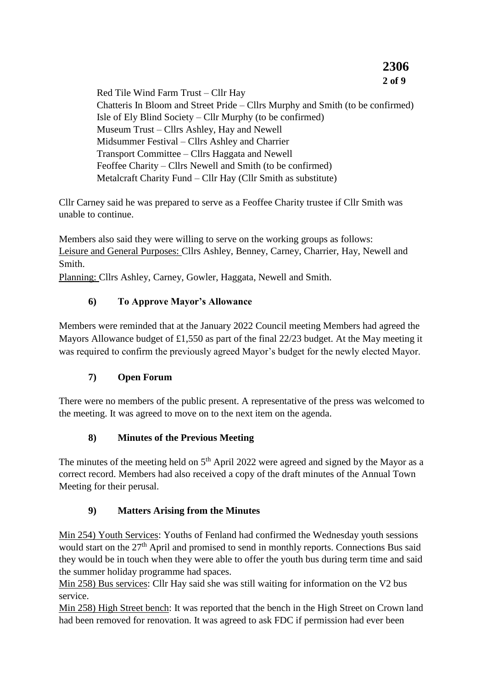**2 of 9** Red Tile Wind Farm Trust – Cllr Hay Chatteris In Bloom and Street Pride – Cllrs Murphy and Smith (to be confirmed) Isle of Ely Blind Society – Cllr Murphy (to be confirmed) Museum Trust – Cllrs Ashley, Hay and Newell Midsummer Festival – Cllrs Ashley and Charrier Transport Committee – Cllrs Haggata and Newell Feoffee Charity – Cllrs Newell and Smith (to be confirmed) Metalcraft Charity Fund – Cllr Hay (Cllr Smith as substitute)

**2306**

Cllr Carney said he was prepared to serve as a Feoffee Charity trustee if Cllr Smith was unable to continue.

Members also said they were willing to serve on the working groups as follows: Leisure and General Purposes: Cllrs Ashley, Benney, Carney, Charrier, Hay, Newell and Smith.

Planning: Cllrs Ashley, Carney, Gowler, Haggata, Newell and Smith.

### **6) To Approve Mayor's Allowance**

Members were reminded that at the January 2022 Council meeting Members had agreed the Mayors Allowance budget of £1,550 as part of the final 22/23 budget. At the May meeting it was required to confirm the previously agreed Mayor's budget for the newly elected Mayor.

#### **7) Open Forum**

There were no members of the public present. A representative of the press was welcomed to the meeting. It was agreed to move on to the next item on the agenda.

#### **8) Minutes of the Previous Meeting**

The minutes of the meeting held on  $5<sup>th</sup>$  April 2022 were agreed and signed by the Mayor as a correct record. Members had also received a copy of the draft minutes of the Annual Town Meeting for their perusal.

#### **9) Matters Arising from the Minutes**

Min 254) Youth Services: Youths of Fenland had confirmed the Wednesday youth sessions would start on the 27<sup>th</sup> April and promised to send in monthly reports. Connections Bus said they would be in touch when they were able to offer the youth bus during term time and said the summer holiday programme had spaces.

Min 258) Bus services: Cllr Hay said she was still waiting for information on the V2 bus service.

Min 258) High Street bench: It was reported that the bench in the High Street on Crown land had been removed for renovation. It was agreed to ask FDC if permission had ever been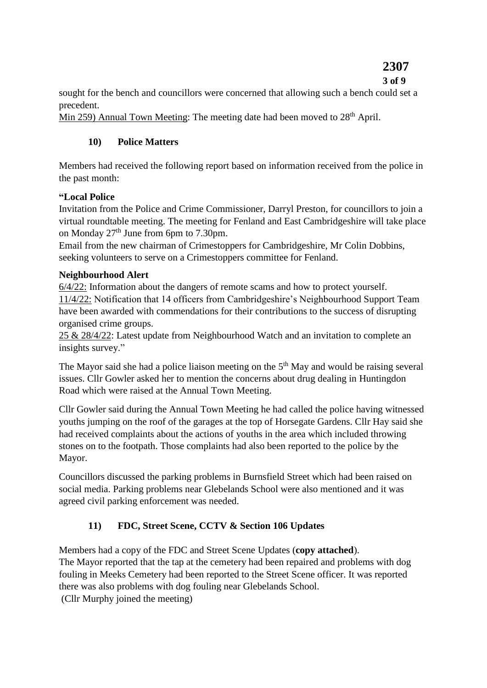# **2307**

#### **3 of 9**

sought for the bench and councillors were concerned that allowing such a bench could set a precedent.

Min 259) Annual Town Meeting: The meeting date had been moved to 28<sup>th</sup> April.

## **10) Police Matters**

Members had received the following report based on information received from the police in the past month:

## **"Local Police**

Invitation from the Police and Crime Commissioner, Darryl Preston, for councillors to join a virtual roundtable meeting. The meeting for Fenland and East Cambridgeshire will take place on Monday 27<sup>th</sup> June from 6pm to 7.30pm.

Email from the new chairman of Crimestoppers for Cambridgeshire, Mr Colin Dobbins, seeking volunteers to serve on a Crimestoppers committee for Fenland.

## **Neighbourhood Alert**

6/4/22: Information about the dangers of remote scams and how to protect yourself. 11/4/22: Notification that 14 officers from Cambridgeshire's Neighbourhood Support Team have been awarded with commendations for their contributions to the success of disrupting organised crime groups.

25 & 28/4/22: Latest update from Neighbourhood Watch and an invitation to complete an insights survey."

The Mayor said she had a police liaison meeting on the 5<sup>th</sup> May and would be raising several issues. Cllr Gowler asked her to mention the concerns about drug dealing in Huntingdon Road which were raised at the Annual Town Meeting.

Cllr Gowler said during the Annual Town Meeting he had called the police having witnessed youths jumping on the roof of the garages at the top of Horsegate Gardens. Cllr Hay said she had received complaints about the actions of youths in the area which included throwing stones on to the footpath. Those complaints had also been reported to the police by the Mayor.

Councillors discussed the parking problems in Burnsfield Street which had been raised on social media. Parking problems near Glebelands School were also mentioned and it was agreed civil parking enforcement was needed.

## **11) FDC, Street Scene, CCTV & Section 106 Updates**

Members had a copy of the FDC and Street Scene Updates (**copy attached**). The Mayor reported that the tap at the cemetery had been repaired and problems with dog fouling in Meeks Cemetery had been reported to the Street Scene officer. It was reported there was also problems with dog fouling near Glebelands School. (Cllr Murphy joined the meeting)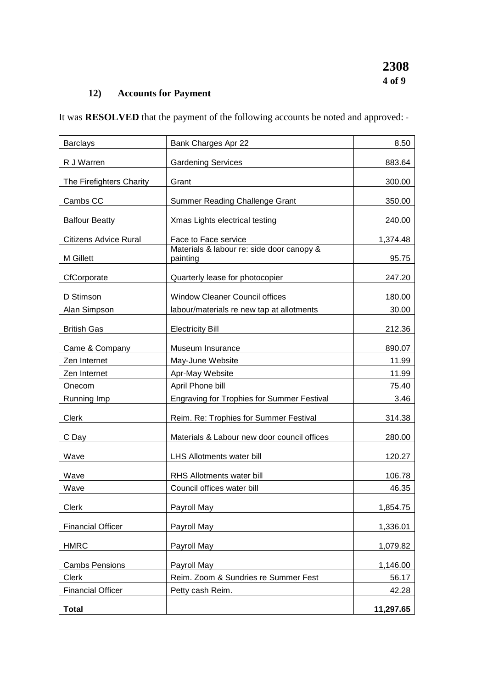## **12) Accounts for Payment**

It was **RESOLVED** that the payment of the following accounts be noted and approved: -

| <b>Barclays</b>              | Bank Charges Apr 22                                   | 8.50      |
|------------------------------|-------------------------------------------------------|-----------|
| R J Warren                   | <b>Gardening Services</b>                             | 883.64    |
| The Firefighters Charity     | Grant                                                 | 300.00    |
| Cambs CC                     | <b>Summer Reading Challenge Grant</b>                 | 350.00    |
| <b>Balfour Beatty</b>        | Xmas Lights electrical testing                        | 240.00    |
| <b>Citizens Advice Rural</b> | Face to Face service                                  | 1,374.48  |
| M Gillett                    | Materials & labour re: side door canopy &<br>painting | 95.75     |
| CfCorporate                  | Quarterly lease for photocopier                       | 247.20    |
| D Stimson                    | <b>Window Cleaner Council offices</b>                 | 180.00    |
| Alan Simpson                 | labour/materials re new tap at allotments             | 30.00     |
| <b>British Gas</b>           | <b>Electricity Bill</b>                               | 212.36    |
| Came & Company               | Museum Insurance                                      | 890.07    |
| Zen Internet                 | May-June Website                                      | 11.99     |
| Zen Internet                 | Apr-May Website                                       | 11.99     |
| Onecom                       | April Phone bill                                      | 75.40     |
| Running Imp                  | <b>Engraving for Trophies for Summer Festival</b>     | 3.46      |
| Clerk                        | Reim. Re: Trophies for Summer Festival                | 314.38    |
| C Day                        | Materials & Labour new door council offices           | 280.00    |
| Wave                         | LHS Allotments water bill                             | 120.27    |
| Wave                         | <b>RHS Allotments water bill</b>                      | 106.78    |
| Wave                         | Council offices water bill                            | 46.35     |
| Clerk                        | Payroll May                                           | 1,854.75  |
| <b>Financial Officer</b>     | Payroll May                                           | 1,336.01  |
| <b>HMRC</b>                  | Payroll May                                           | 1,079.82  |
| <b>Cambs Pensions</b>        | Payroll May                                           | 1,146.00  |
| <b>Clerk</b>                 | Reim. Zoom & Sundries re Summer Fest                  | 56.17     |
| <b>Financial Officer</b>     | Petty cash Reim.                                      | 42.28     |
| <b>Total</b>                 |                                                       | 11,297.65 |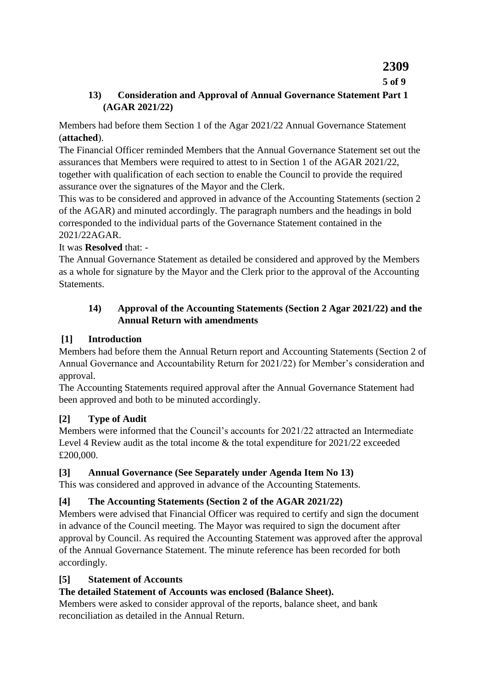## **2309**

#### **5 of 9**

#### **13) Consideration and Approval of Annual Governance Statement Part 1 (AGAR 2021/22)**

Members had before them Section 1 of the Agar 2021/22 Annual Governance Statement (**attached**).

The Financial Officer reminded Members that the Annual Governance Statement set out the assurances that Members were required to attest to in Section 1 of the AGAR 2021/22, together with qualification of each section to enable the Council to provide the required assurance over the signatures of the Mayor and the Clerk.

This was to be considered and approved in advance of the Accounting Statements (section 2 of the AGAR) and minuted accordingly. The paragraph numbers and the headings in bold corresponded to the individual parts of the Governance Statement contained in the 2021/22AGAR.

### It was **Resolved** that: -

The Annual Governance Statement as detailed be considered and approved by the Members as a whole for signature by the Mayor and the Clerk prior to the approval of the Accounting Statements.

#### **14) Approval of the Accounting Statements (Section 2 Agar 2021/22) and the Annual Return with amendments**

#### **[1] Introduction**

Members had before them the Annual Return report and Accounting Statements (Section 2 of Annual Governance and Accountability Return for 2021/22) for Member's consideration and approval.

The Accounting Statements required approval after the Annual Governance Statement had been approved and both to be minuted accordingly.

## **[2] Type of Audit**

Members were informed that the Council's accounts for 2021/22 attracted an Intermediate Level 4 Review audit as the total income & the total expenditure for 2021/22 exceeded £200,000.

## **[3] Annual Governance (See Separately under Agenda Item No 13)**

This was considered and approved in advance of the Accounting Statements.

## **[4] The Accounting Statements (Section 2 of the AGAR 2021/22)**

Members were advised that Financial Officer was required to certify and sign the document in advance of the Council meeting. The Mayor was required to sign the document after approval by Council. As required the Accounting Statement was approved after the approval of the Annual Governance Statement. The minute reference has been recorded for both accordingly.

#### **[5] Statement of Accounts**

## **The detailed Statement of Accounts was enclosed (Balance Sheet).**

Members were asked to consider approval of the reports, balance sheet, and bank reconciliation as detailed in the Annual Return.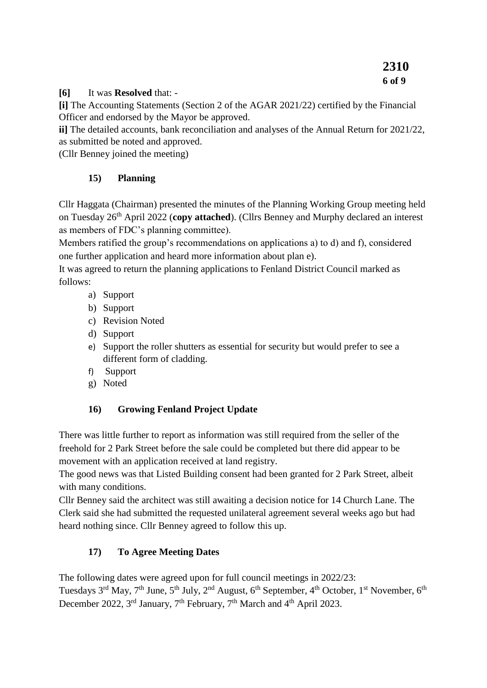#### **[6]** It was **Resolved** that: -

**[i]** The Accounting Statements (Section 2 of the AGAR 2021/22) certified by the Financial Officer and endorsed by the Mayor be approved.

**ii]** The detailed accounts, bank reconciliation and analyses of the Annual Return for 2021/22, as submitted be noted and approved.

(Cllr Benney joined the meeting)

### **15) Planning**

Cllr Haggata (Chairman) presented the minutes of the Planning Working Group meeting held on Tuesday 26th April 2022 (**copy attached**). (Cllrs Benney and Murphy declared an interest as members of FDC's planning committee).

Members ratified the group's recommendations on applications a) to d) and f), considered one further application and heard more information about plan e).

It was agreed to return the planning applications to Fenland District Council marked as follows:

- a) Support
- b) Support
- c) Revision Noted
- d) Support
- e) Support the roller shutters as essential for security but would prefer to see a different form of cladding.
- f) Support
- g) Noted

## **16) Growing Fenland Project Update**

There was little further to report as information was still required from the seller of the freehold for 2 Park Street before the sale could be completed but there did appear to be movement with an application received at land registry.

The good news was that Listed Building consent had been granted for 2 Park Street, albeit with many conditions.

Cllr Benney said the architect was still awaiting a decision notice for 14 Church Lane. The Clerk said she had submitted the requested unilateral agreement several weeks ago but had heard nothing since. Cllr Benney agreed to follow this up.

## **17) To Agree Meeting Dates**

The following dates were agreed upon for full council meetings in 2022/23:

Tuesdays 3<sup>rd</sup> May, 7<sup>th</sup> June, 5<sup>th</sup> July, 2<sup>nd</sup> August, 6<sup>th</sup> September, 4<sup>th</sup> October, 1<sup>st</sup> November, 6<sup>th</sup> December 2022,  $3^{\text{rd}}$  January,  $7^{\text{th}}$  February,  $7^{\text{th}}$  March and  $4^{\text{th}}$  April 2023.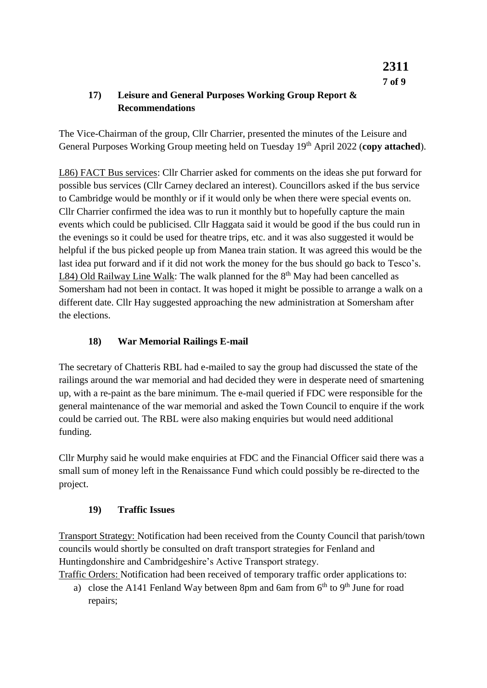### **17) Leisure and General Purposes Working Group Report & Recommendations**

The Vice-Chairman of the group, Cllr Charrier, presented the minutes of the Leisure and General Purposes Working Group meeting held on Tuesday 19<sup>th</sup> April 2022 (**copy attached**).

L86) FACT Bus services: Cllr Charrier asked for comments on the ideas she put forward for possible bus services (Cllr Carney declared an interest). Councillors asked if the bus service to Cambridge would be monthly or if it would only be when there were special events on. Cllr Charrier confirmed the idea was to run it monthly but to hopefully capture the main events which could be publicised. Cllr Haggata said it would be good if the bus could run in the evenings so it could be used for theatre trips, etc. and it was also suggested it would be helpful if the bus picked people up from Manea train station. It was agreed this would be the last idea put forward and if it did not work the money for the bus should go back to Tesco's. L84) Old Railway Line Walk: The walk planned for the  $8<sup>th</sup>$  May had been cancelled as Somersham had not been in contact. It was hoped it might be possible to arrange a walk on a different date. Cllr Hay suggested approaching the new administration at Somersham after the elections.

### **18) War Memorial Railings E-mail**

The secretary of Chatteris RBL had e-mailed to say the group had discussed the state of the railings around the war memorial and had decided they were in desperate need of smartening up, with a re-paint as the bare minimum. The e-mail queried if FDC were responsible for the general maintenance of the war memorial and asked the Town Council to enquire if the work could be carried out. The RBL were also making enquiries but would need additional funding.

Cllr Murphy said he would make enquiries at FDC and the Financial Officer said there was a small sum of money left in the Renaissance Fund which could possibly be re-directed to the project.

#### **19) Traffic Issues**

Transport Strategy: Notification had been received from the County Council that parish/town councils would shortly be consulted on draft transport strategies for Fenland and Huntingdonshire and Cambridgeshire's Active Transport strategy.

Traffic Orders: Notification had been received of temporary traffic order applications to:

a) close the A141 Fenland Way between 8pm and 6am from  $6<sup>th</sup>$  to  $9<sup>th</sup>$  June for road repairs;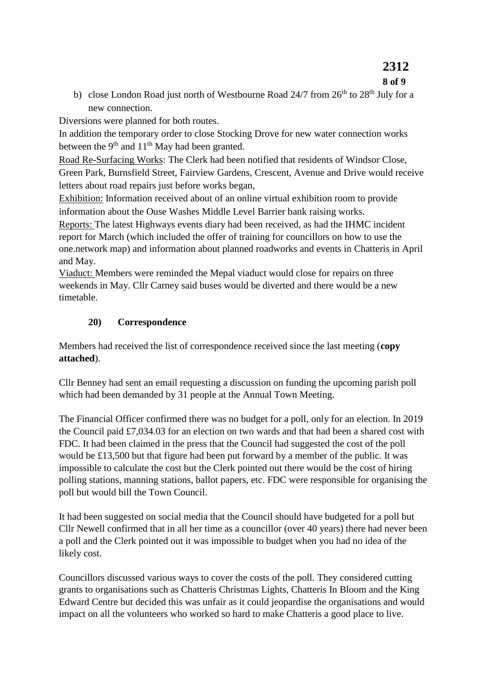# **2312**

#### **8 of 9**

b) close London Road just north of Westbourne Road  $24/7$  from  $26<sup>th</sup>$  to  $28<sup>th</sup>$  July for a new connection.

Diversions were planned for both routes.

In addition the temporary order to close Stocking Drove for new water connection works between the  $9<sup>th</sup>$  and  $11<sup>th</sup>$  May had been granted.

Road Re-Surfacing Works: The Clerk had been notified that residents of Windsor Close, Green Park, Burnsfield Street, Fairview Gardens, Crescent, Avenue and Drive would receive letters about road repairs just before works began,

Exhibition: Information received about of an online virtual exhibition room to provide information about the Ouse Washes Middle Level Barrier bank raising works.

Reports: The latest Highways events diary had been received, as had the IHMC incident report for March (which included the offer of training for councillors on how to use the one.network map) and information about planned roadworks and events in Chatteris in April and May.

Viaduct: Members were reminded the Mepal viaduct would close for repairs on three weekends in May. Cllr Carney said buses would be diverted and there would be a new timetable.

### **20) Correspondence**

Members had received the list of correspondence received since the last meeting (**copy attached**).

Cllr Benney had sent an email requesting a discussion on funding the upcoming parish poll which had been demanded by 31 people at the Annual Town Meeting.

The Financial Officer confirmed there was no budget for a poll, only for an election. In 2019 the Council paid £7,034.03 for an election on two wards and that had been a shared cost with FDC. It had been claimed in the press that the Council had suggested the cost of the poll would be £13,500 but that figure had been put forward by a member of the public. It was impossible to calculate the cost but the Clerk pointed out there would be the cost of hiring polling stations, manning stations, ballot papers, etc. FDC were responsible for organising the poll but would bill the Town Council.

It had been suggested on social media that the Council should have budgeted for a poll but Cllr Newell confirmed that in all her time as a councillor (over 40 years) there had never been a poll and the Clerk pointed out it was impossible to budget when you had no idea of the likely cost.

Councillors discussed various ways to cover the costs of the poll. They considered cutting grants to organisations such as Chatteris Christmas Lights, Chatteris In Bloom and the King Edward Centre but decided this was unfair as it could jeopardise the organisations and would impact on all the volunteers who worked so hard to make Chatteris a good place to live.